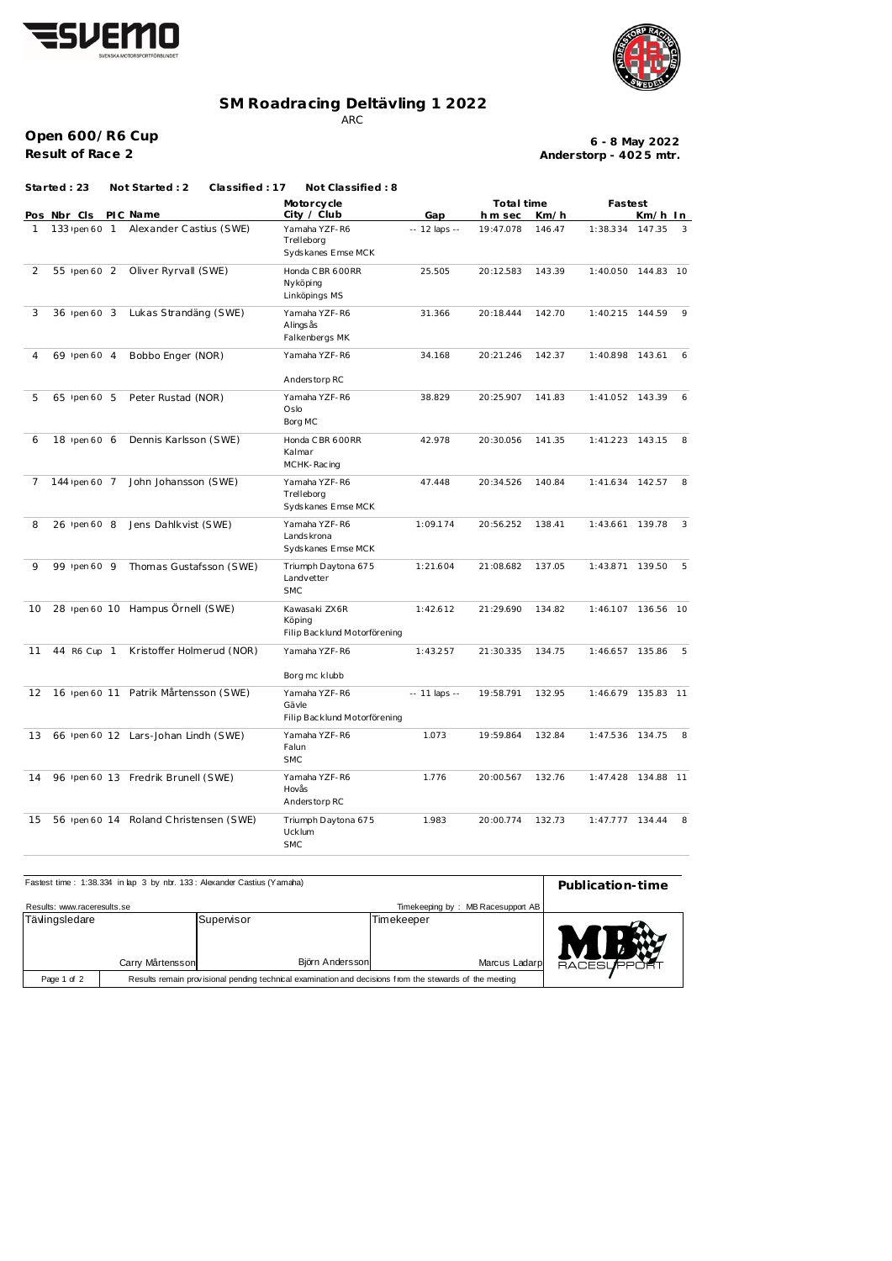



## **SM Roadracing Deltävling 1 2022**

ARC

**Open 600/R6 Cup Result of Race 2**

**Anderstorp - 402 5 mtr. 6 - 8 May 2022**

**Fastest Pos Nbr Cls PIC Name Clty**  $\ell$  **Club Gap In Sec Km**/h **In Motorcycle City / Club Total time h** m sec **Started : 23 Not Started : 2 Classified : 17 Not Classified : 8** 1 133 pen 60 1 Alexander Castius (SWE) Yamaha YZF-R6 -- 12 laps -- 19:47.078 Trelleborg 146 .47 Syds kanes Emse MCK 1:38.334 147.35 3 2 55 Ipen 60 2 Oliver Ryrvall (SWE) Honda C BR 600 RR 25.505 20:12.583 Nyköping 143 .39 Linköpings MS  $1:40.050$   $144.83$   $10$ 3 36 Ipen 60 3 Lukas Strandäng (SWE) Yamaha YZF-R6 31.366 20:18.444 142.70 1:40.215 144.59 9 Alings ås 142 .70 Falkenbergs MK  $1:40.215$  144.59 4 69 Ipen 60 4 Bobbo Enger (NOR) Yamaha YZF-R6 34.168 20:21.246 142.37 1:40.898 143.61 6 Anders torp RC 1:40.898 143.61 5 65 pen 60 5 Peter Rustad (NOR) Yamaha YZF-R6 38.829 20:25.907 141.83 1:41.052 143.39 6 Oslo 141.83 Borg MC  $1:41.052$  143.39 6 18 Ipen 60 6 Dennis Karlsson (SWE) Honda C BR 600 RR 42.978 20:30.056 141.35 1:41.223 143.15 8 Kalmar 141 .35 MCHK-Racing  $1:41.223$   $143.15$ 7 144 Ipen 60 7 John Johansson (SWE) Yamaha YZF-R6 47.448 20:34.526 140.84 1:41.634 142.57 8 Trelleborg 140 .84 Syds kanes Emse MCK  $1:41.634$  142.57 8 26 pen 60 8 Jens Dahlkvist (SWE) Yamaha YZF-R6 1:09.174 20:56.252 138.41 1:43.661 139.78 3 Lands krona 138 .41 Syds kanes Emse MCK 1:43.661 139.78 9 99 pen 60 9 Thomas Gustafsson (SWE) Triumph Daytona 675 1:21.604 21:08.682 Landvetter 137 .05 SMC 1:43.871 139.50 5 10 28 pen 60 10 Hampus Örnell (SWE) Kawasaki ZX6R 1:42.612 21:29.690 Köping 134 .82 Filip Bac klund M otorförening 1:46.107 136.56 10 11 44 R6 Cup 1 Kristoffer Holmerud (NOR) Yamaha YZF-R6 1:43.257 21:30.335 134.75 Borg mc klubb 1:46.657 135.86 5 12 16 pen 60 11 Patrik Mårtensson (SWE) Yamaha YZF-R6 -- 11 laps -- 19:58.791 Gävle 132 .95 Filip Bac klund M otorförening 1:46.679 135.83 11 13 66 pen 60 12 Lars-Johan Lindh (SWE) Yamaha YZF-R6 1.073 19:59.864 132.84 1:47.536 134.75 8 Falun 132 .84 SMC 1:47.536 134.75 14 96 pen 60 13 Fredrik Brunell (SWE) Yamaha YZF-R6 1.776 20:00.567 Hovås 132 .76 Anders torp RC 1:47.428 134.88 11 15 56 pen 60 14 Roland Christensen (SWE) Triumph Daytona 675 1.983 20:00.774 132.73 1:47.777 134.44 8 Ucklum 132 .73 SMC  $1:47.777$  134.44

| Fastest time: 1:38.334 in lap 3 by nbr. 133: Alexander Castius (Yamaha) | Publication-time                                                                                        |                               |            |               |        |
|-------------------------------------------------------------------------|---------------------------------------------------------------------------------------------------------|-------------------------------|------------|---------------|--------|
|                                                                         |                                                                                                         |                               |            |               |        |
| Results: www.raceresults.se                                             |                                                                                                         |                               |            |               |        |
| Tävlingsledare                                                          | Carry Mårtensson                                                                                        | Supervisor<br>Björn Andersson | Timekeeper | Marcus Ladarp | RACESU |
| Page 1 of 2                                                             | Results remain provisional pending technical examination and decisions from the stewards of the meeting |                               |            |               |        |